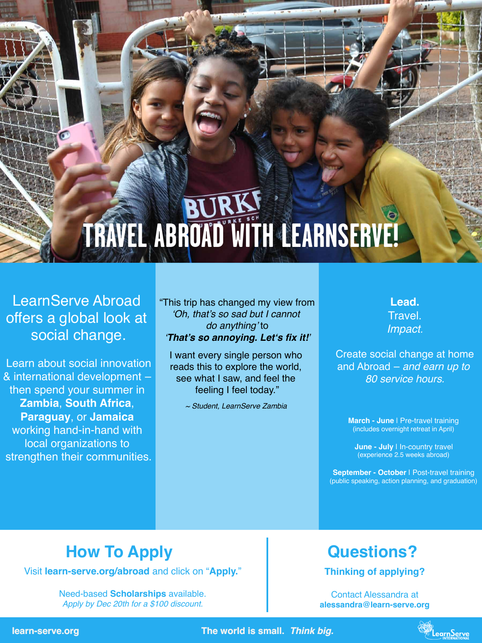**learn-serve.org The world is small.** *Think big.*

## **Questions?**

**Thinking of applying?**

Contact Alessandra at **alessandra@learn-serve.org**



## **How To Apply**

Visit **learn-serve.org/abroad** and click on "**Apply.**"

Need-based **Scholarships** available. *Apply by Dec 20th for a \$100 discount.*

**March - June I Pre-travel training** (includes overnight retreat in April)

# **TRAVEL ABROAD WITH LEARNSERVE!**

LearnServe Abroad offers a global look at social change.

> **June - July I In-country travel** (experience 2.5 weeks abroad)

"This trip has changed my view from 'Oh, that's so sad but I cannot do anything' to

Learn about social innovation & international development – then spend your summer in **Zambia**, **South Africa**, **Paraguay**, or **Jamaica**  working hand-in-hand with local organizations to strengthen their communities.

> **September - October** | Post-travel training (public speaking, action planning, and graduation)

### '**That's so annoying. Let's fix it***!*'

I want every single person who reads this to explore the world, see what I saw, and feel the feeling I feel today."

~ Student, LearnServe Zambia

**Lead.** Travel. Impact*.*

Create social change at home and Abroad – *and earn up to*  80 service hour*s.*